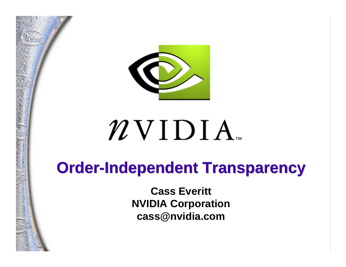

# $\n \mathcal{W}$  V I  $\rm D$  I  $\rm A$   $_{\textrm{\tiny{int}}}$

### **Order-Independent Transparency Order-Independent Transparency**

**Cass Everitt NVIDIA Corporation cass@nvidia.com**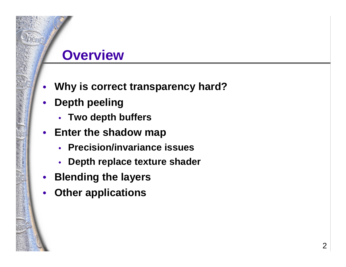#### **Overview**

- •**Why is correct transparency hard?**
- $\bullet$  **Depth peeling**
	- **Two depth buffers**
- **Enter the shadow map**
	- **Precision/invariance issues**
	- •**Depth replace texture shader**
- $\bullet$ **Blending the layers**
- •**Other applications**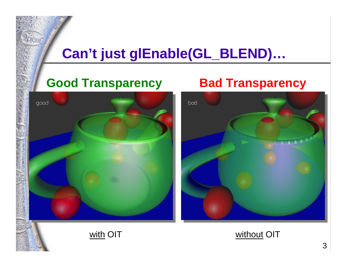#### **Can't just glEnable(GL\_BLEND)…**

#### **Good Transparency Bad Transparency**

# good

with OIT



without OIT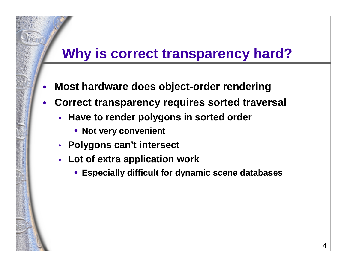#### **Why is correct transparency hard?**

- •**Most hardware does object-order rendering**
- $\bullet$  **Correct transparency requires sorted traversal**
	- **Have to render polygons in sorted order**
		- **Not very convenient**
	- **Polygons can't intersect**
	- **Lot of extra application work**
		- •**Especially difficult for dynamic scene databases**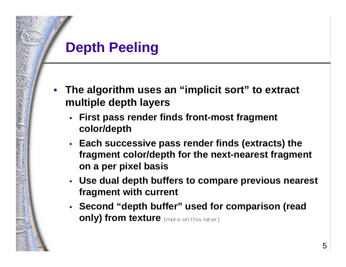#### **Depth Peeling**

- • **The algorithm uses an "implicit sort" to extract multiple depth layers**
	- **First pass render finds front-most fragment color/depth**
	- **Each successive pass render finds (extracts) the fragment color/depth for the next-nearest fragment on a per pixel basis**
	- **Use dual depth buffers to compare previous nearest fragment with current**
	- **Second "depth buffer" used for comparison (read only) from texture** [more on this later]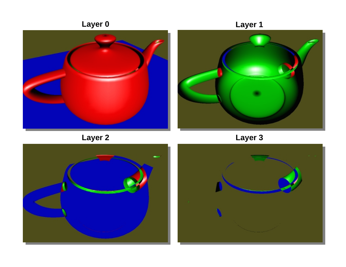

6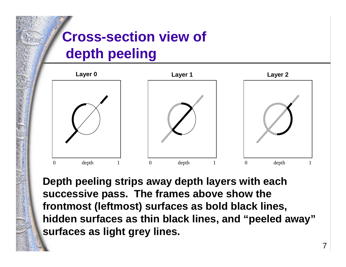#### **Cross-section view of depth peeling**



**Depth peeling strips away depth layers with each successive pass. The frames above show the frontmost (leftmost) surfaces as bold black lines, hidden surfaces as thin black lines, and "peeled away" surfaces as light grey lines.**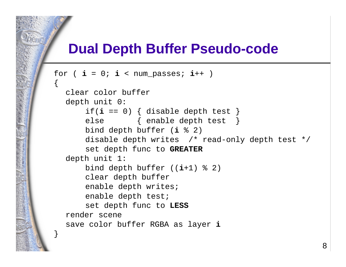#### **Dual Depth Buffer Pseudo-code**

```
for ( i = 0; i < num_passes; 
i++ )
{
  clear color bufferdepth unit 0:
       if(
i == 0) { disable depth test }
      else { enable depth test }
      bind depth buffer (
i % 2)
      disable depth writes /* read-only depth test */
      set depth func to GREATER
  depth unit 1:
      bind depth buffer ((
i+1) % 2)
      clear depth buffer
      enable depth writes;
      enable depth test;
      set depth func to LESS
  render scenesave color buffer RGBA as layer 
i
}
```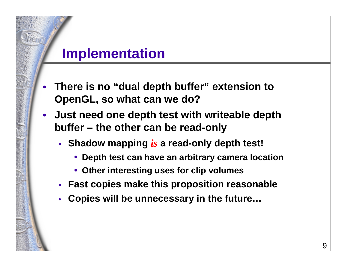#### **Implementation**

- • **There is no "dual depth buffer" extension to OpenGL, so what can we do?**
- **Just need one depth test with writeable depth buffer – the other can be read-only**
	- **Shadow mapping** *is* **a read-only depth test!**
		- **Depth test can have an arbitrary camera location**
		- **Other interesting uses for clip volumes**
	- **Fast copies make this proposition reasonable**
	- •**Copies will be unnecessary in the future…**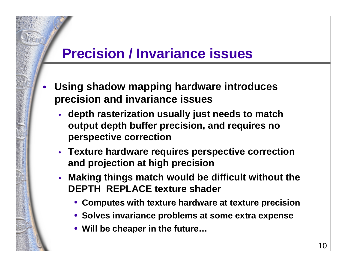#### **Precision / Invariance issues**

- • **Using shadow mapping hardware introduces precision and invariance issues**
	- **depth rasterization usually just needs to match output depth buffer precision, and requires no perspective correction**
	- **Texture hardware requires perspective correction and projection at high precision**
	- **Making things match would be difficult without the DEPTH\_REPLACE texture shader**
		- **Computes with texture hardware at texture precision**
		- **Solves invariance problems at some extra expense**
		- **Will be cheaper in the future…**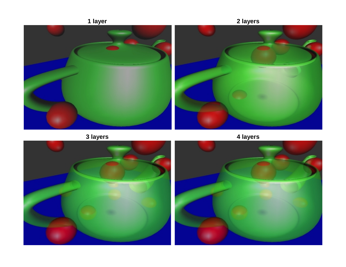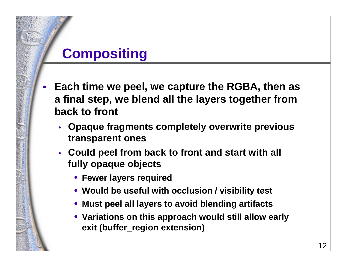#### **Compositing**

- • **Each time we peel, we capture the RGBA, then as a final step, we blend all the layers together from back to front**
	- **Opaque fragments completely overwrite previous transparent ones**
	- **Could peel from back to front and start with all fully opaque objects**
		- **Fewer layers required**
		- **Would be useful with occlusion / visibility test**
		- **Must peel all layers to avoid blending artifacts**
		- **Variations on this approach would still allow early exit (buffer\_region extension)**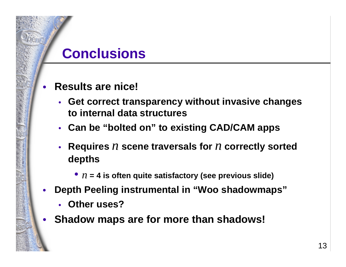#### **Conclusions**

- • **Results are nice!**
	- **Get correct transparency without invasive changes to internal data structures**
	- **Can be "bolted on" to existing CAD/CAM apps**
	- **Requires** *<sup>n</sup>* **scene traversals for** *<sup>n</sup>* **correctly sorted depths**
		- *n* **= 4 is often quite satisfactory (see previous slide)**
- • **Depth Peeling instrumental in "Woo shadowmaps"**
	- •**Other uses?**
- •**Shadow maps are for more than shadows!**